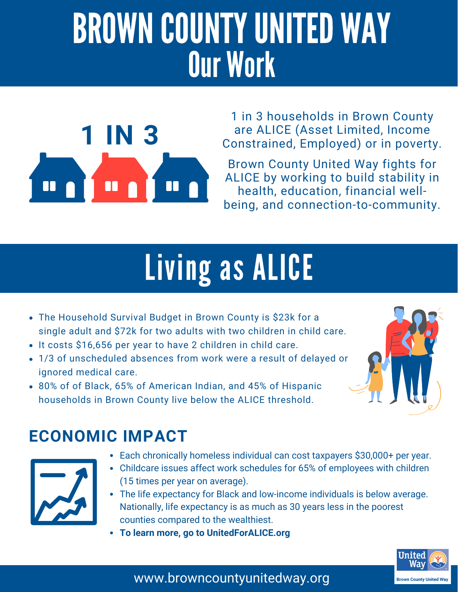# BROWN COUNTY UNITED WAY Our Work



1 in 3 households in Brown County are ALICE (Asset Limited, Income Constrained, Employed) or in poverty.

Brown County United Way fights for ALICE by working to build stability in health, education, financial wellbeing, and connection-to-community.

# Living as ALICE

- The Household Survival Budget in Brown County is \$23k for a single adult and \$72k for two adults with two children in child care.
- It costs \$16,656 per year to have 2 children in child care.
- 1/3 of unscheduled absences from work were a result of delayed or ignored medical care.
- 80% of of Black, 65% of American Indian, and 45% of Hispanic households in Brown County live below the ALICE threshold.

### **ECONOMIC IMPACT**



- Each chronically homeless individual can cost taxpayers \$30,000+ per year.
- Childcare issues affect work schedules for 65% of employees with children (15 times per year on average).
- The life expectancy for Black and low-income individuals is below average. Nationally, life expectancy is as much as 30 years less in the poorest counties compared to the wealthiest.
- **To learn more, go to UnitedForALICE.org**



www.browncountyunitedway.org